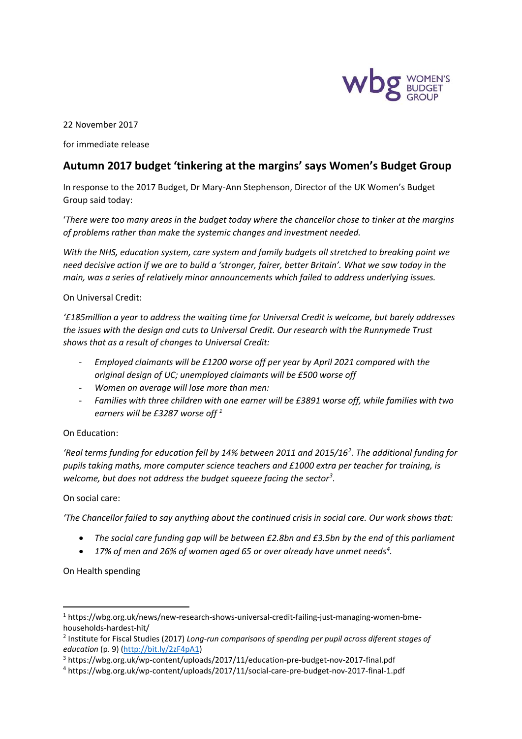

22 November 2017

for immediate release

# **Autumn 2017 budget 'tinkering at the margins' says Women's Budget Group**

In response to the 2017 Budget, Dr Mary-Ann Stephenson, Director of the UK Women's Budget Group said today:

'*There were too many areas in the budget today where the chancellor chose to tinker at the margins of problems rather than make the systemic changes and investment needed.* 

*With the NHS, education system, care system and family budgets all stretched to breaking point we need decisive action if we are to build a 'stronger, fairer, better Britain'. What we saw today in the main, was a series of relatively minor announcements which failed to address underlying issues.* 

On Universal Credit:

*'£185million a year to address the waiting time for Universal Credit is welcome, but barely addresses the issues with the design and cuts to Universal Credit. Our research with the Runnymede Trust shows that as a result of changes to Universal Credit:* 

- *Employed claimants will be £1200 worse off per year by April 2021 compared with the original design of UC; unemployed claimants will be £500 worse off*
- *Women on average will lose more than men:*
- *Families with three children with one earner will be £3891 worse off, while families with two earners will be £3287 worse off <sup>1</sup>*

### On Education:

*'Real terms funding for education fell by 14% between 2011 and 2015/16<sup>2</sup> . The additional funding for pupils taking maths, more computer science teachers and £1000 extra per teacher for training, is welcome, but does not address the budget squeeze facing the sector<sup>3</sup> .* 

#### On social care:

*'The Chancellor failed to say anything about the continued crisis in social care. Our work shows that:* 

- *The social care funding gap will be between £2.8bn and £3.5bn by the end of this parliament*
- *17% of men and 26% of women aged 65 or over already have unmet needs<sup>4</sup> .*

On Health spending

1

<sup>1</sup> https://wbg.org.uk/news/new-research-shows-universal-credit-failing-just-managing-women-bmehouseholds-hardest-hit/

<sup>2</sup> Institute for Fiscal Studies (2017) *Long-run comparisons of spending per pupil across diferent stages of education* (p. 9) [\(http://bit.ly/2zF4pA1\)](http://bit.ly/2zF4pA1)

<sup>3</sup> https://wbg.org.uk/wp-content/uploads/2017/11/education-pre-budget-nov-2017-final.pdf

<sup>4</sup> https://wbg.org.uk/wp-content/uploads/2017/11/social-care-pre-budget-nov-2017-final-1.pdf